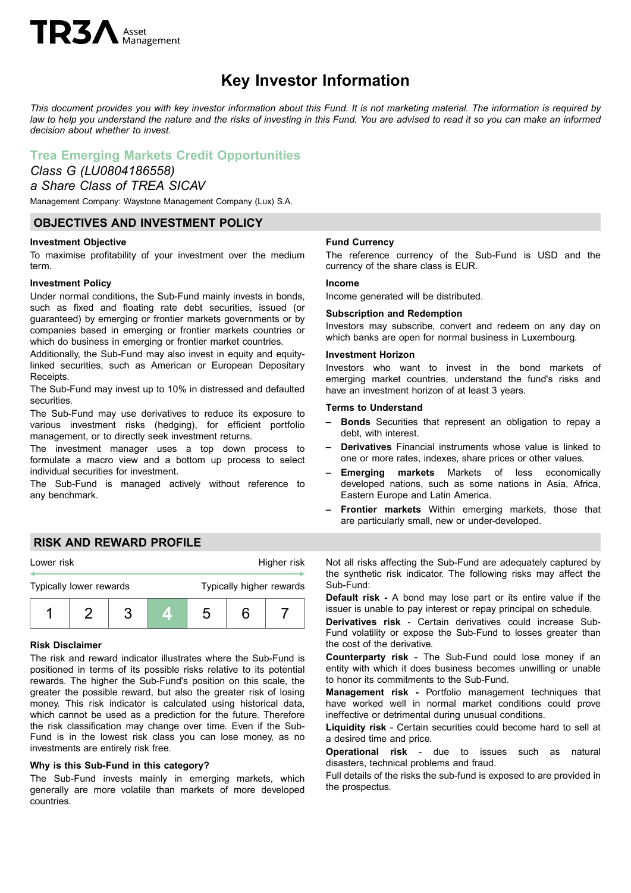# $TR3A$  Asset

## **Key Investor Information**

This document provides you with key investor information about this Fund. It is not marketing material. The information is required by law to help you understand the nature and the risks of investing in this Fund. You are advised to read it so you can make an informed *decision about whether to invest.*

## **Trea Emerging Markets Credit Opportunities**

## *Class G (LU0804186558)*

## *a Share Class of TREA SICAV*

Management Company: Waystone Management Company (Lux) S.A.

## **OBJECTIVES AND INVESTMENT POLICY**

## **Investment Objective**

To maximise profitability of your investment over the medium term.

## **Investment Policy**

Under normal conditions, the Sub-Fund mainly invests in bonds, such as fixed and floating rate debt securities, issued (or guaranteed) by emerging or frontier markets governments or by companies based in emerging or frontier markets countries or which do business in emerging or frontier market countries.

Additionally, the Sub-Fund may also invest in equity and equitylinked securities, such as American or European Depositary Receipts.

The Sub-Fund may invest up to 10% in distressed and defaulted securities.

The Sub-Fund may use derivatives to reduce its exposure to various investment risks (hedging), for efficient portfolio management, or to directly seek investment returns.

The investment manager uses a top down process to formulate a macro view and a bottom up process to select individual securities for investment.

The Sub-Fund is managed actively without reference to any benchmark.

## **Fund Currency**

The reference currency of the Sub-Fund is USD and the currency of the share class is EUR.

## **Income**

Income generated will be distributed.

## **Subscription and Redemption**

Investors may subscribe, convert and redeem on any day on which banks are open for normal business in Luxembourg.

## **Investment Horizon**

Investors who want to invest in the bond markets of emerging market countries, understand the fund's risks and have an investment horizon of at least 3 years.

#### **Terms to Understand**

- **– Bonds** Securities that represent an obligation to repay a debt, with interest.
- **– Derivatives** Financial instruments whose value is linked to one or more rates, indexes, share prices or other values.
- **– Emerging markets** Markets of less economically developed nations, such as some nations in Asia, Africa, Eastern Europe and Latin America.
- **– Frontier markets** Within emerging markets, those that are particularly small, new or under-developed.

## **RISK AND REWARD PROFILE**



#### **Risk Disclaimer**

The risk and reward indicator illustrates where the Sub-Fund is positioned in terms of its possible risks relative to its potential rewards. The higher the Sub-Fund's position on this scale, the greater the possible reward, but also the greater risk of losing money. This risk indicator is calculated using historical data, which cannot be used as a prediction for the future. Therefore the risk classification may change over time. Even if the Sub-Fund is in the lowest risk class you can lose money, as no investments are entirely risk free.

## **Why is this Sub-Fund in this category?**

The Sub-Fund invests mainly in emerging markets, which generally are more volatile than markets of more developed countries.

Not all risks affecting the Sub-Fund are adequately captured by the synthetic risk indicator. The following risks may affect the Sub-Fund:

**Default risk -** A bond may lose part or its entire value if the issuer is unable to pay interest or repay principal on schedule.

**Derivatives risk** - Certain derivatives could increase Sub-Fund volatility or expose the Sub-Fund to losses greater than the cost of the derivative.

**Counterparty risk** - The Sub-Fund could lose money if an entity with which it does business becomes unwilling or unable to honor its commitments to the Sub-Fund.

**Management risk -** Portfolio management techniques that have worked well in normal market conditions could prove ineffective or detrimental during unusual conditions.

**Liquidity risk** - Certain securities could become hard to sell at a desired time and price.

**Operational risk** - due to issues such as natural disasters, technical problems and fraud.

Full details of the risks the sub-fund is exposed to are provided in the prospectus.